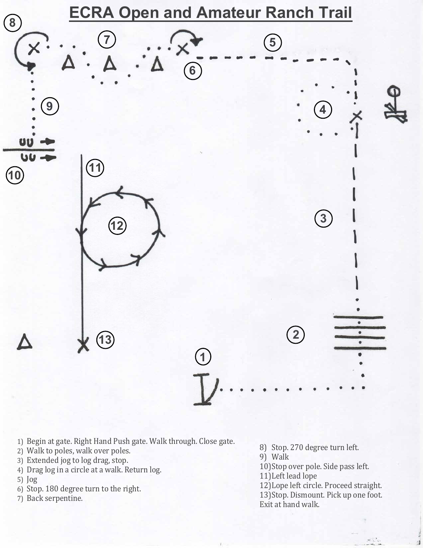1) Begin at gate. Right Hand Push gate. Walk through. Close gate.

2) Walk to poles, walk over poles.



3) Extended jog to log drag, stop.



4) Drag log in a circle at a walk. Return log.

5) Jog

- 6) Stop. 180 degree turn to the right.
- 7) Back serpentine.

8) Stop. 270 degree turn left. 9) Walk 10) Stop over pole. Side pass left. 11) Left lead lope 12) Lope left circle. Proceed straight. 13) Stop. Dismount. Pick up one foot. Exit at hand walk.

 $\mathcal{R}^{(1)}$  is a set

.  $\mathbb{R}^n \to \mathbb{R}^n$  .  $\mathbb{R}^n$  ,  $\mathbb{R}^n$  ,  $\mathbb{R}^n$  ,  $\mathbb{R}^n$  ,  $\mathbb{R}^n$  ,  $\mathbb{R}^n$  ,  $\mathbb{R}^n$  ,  $\mathbb{R}^n$  ,  $\mathbb{R}^n$  ,  $\mathbb{R}^n$  ,  $\mathbb{R}^n$  ,  $\mathbb{R}^n$  ,  $\mathbb{R}^n$  ,  $\mathbb{R}^n$  ,  $\mathbb{R}^n$  ,